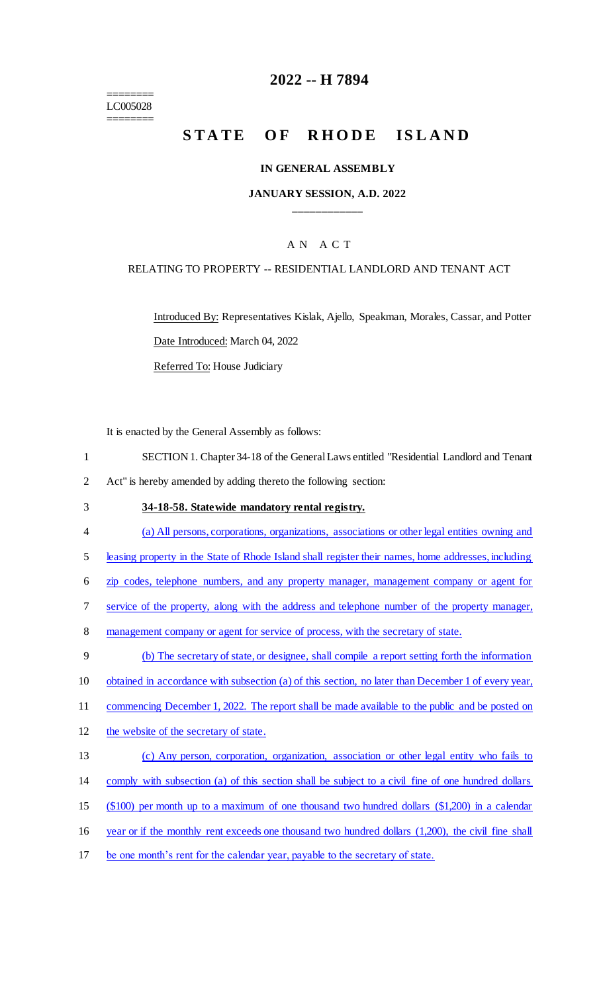======== LC005028 ========

### **2022 -- H 7894**

# **STATE OF RHODE ISLAND**

#### **IN GENERAL ASSEMBLY**

### **JANUARY SESSION, A.D. 2022 \_\_\_\_\_\_\_\_\_\_\_\_**

### A N A C T

#### RELATING TO PROPERTY -- RESIDENTIAL LANDLORD AND TENANT ACT

Introduced By: Representatives Kislak, Ajello, Speakman, Morales, Cassar, and Potter Date Introduced: March 04, 2022

Referred To: House Judiciary

It is enacted by the General Assembly as follows:

- 1 SECTION 1. Chapter 34-18 of the General Laws entitled "Residential Landlord and Tenant 2 Act" is hereby amended by adding thereto the following section:
- 3 **34-18-58. Statewide mandatory rental registry.**
- 4 (a) All persons, corporations, organizations, associations or other legal entities owning and
- 5 leasing property in the State of Rhode Island shall register their names, home addresses, including
- 6 zip codes, telephone numbers, and any property manager, management company or agent for
- 7 service of the property, along with the address and telephone number of the property manager,
- 8 management company or agent for service of process, with the secretary of state.
- 9 (b) The secretary of state, or designee, shall compile a report setting forth the information 10 obtained in accordance with subsection (a) of this section, no later than December 1 of every year, 11 commencing December 1, 2022. The report shall be made available to the public and be posted on 12 the website of the secretary of state. 13 (c) Any person, corporation, organization, association or other legal entity who fails to
- 14 comply with subsection (a) of this section shall be subject to a civil fine of one hundred dollars
- 15 (\$100) per month up to a maximum of one thousand two hundred dollars (\$1,200) in a calendar
- 16 year or if the monthly rent exceeds one thousand two hundred dollars (1,200), the civil fine shall
- 17 be one month's rent for the calendar year, payable to the secretary of state.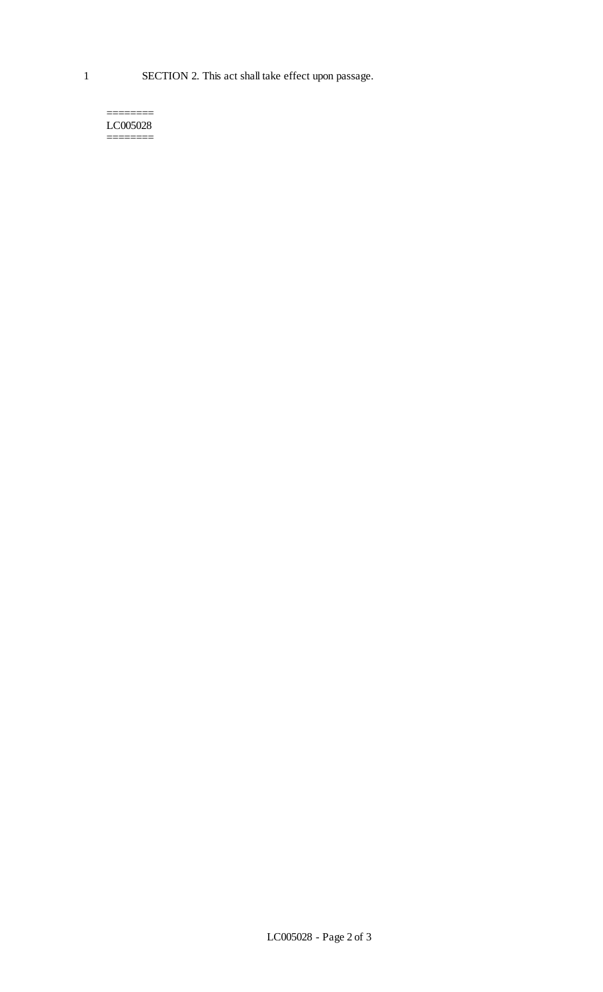======== LC005028 ========